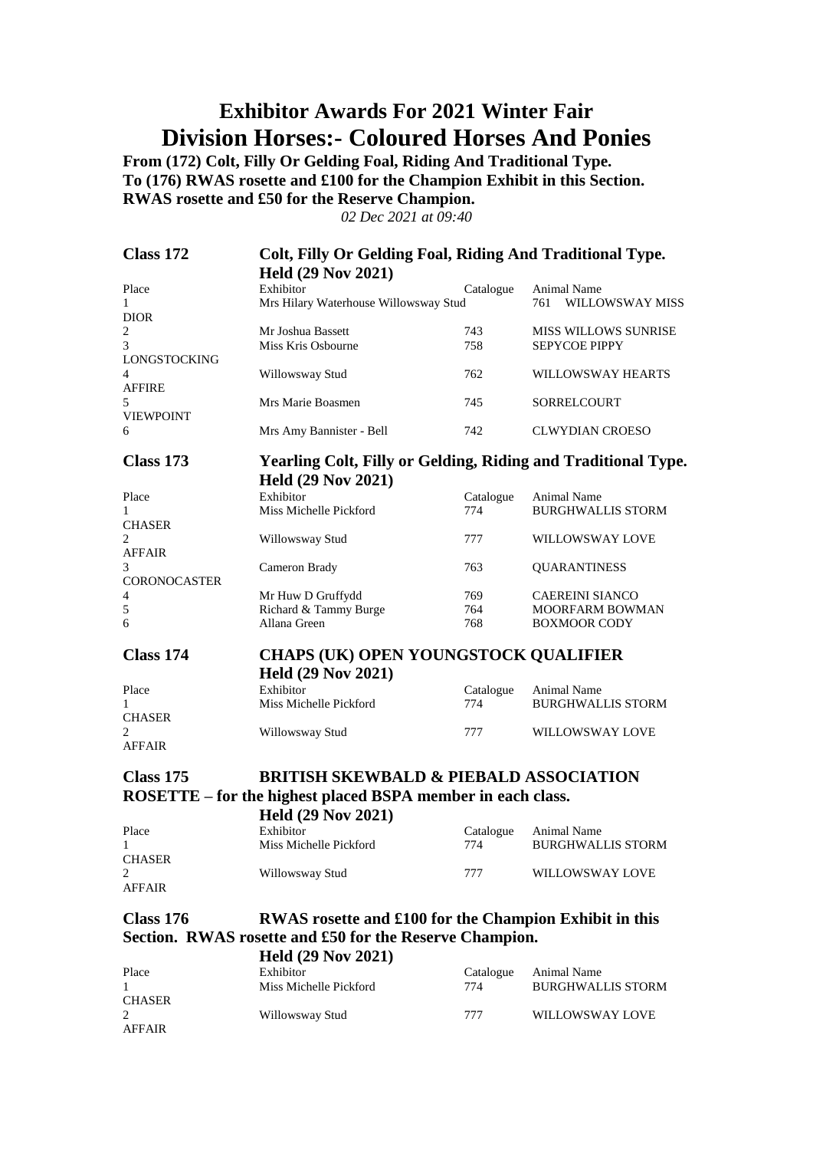### **Exhibitor Awards For 2021 Winter Fair Division Horses:- Coloured Horses And Ponies**

**From (172) Colt, Filly Or Gelding Foal, Riding And Traditional Type. To (176) RWAS rosette and £100 for the Champion Exhibit in this Section. RWAS rosette and £50 for the Reserve Champion.**

| <b>Class 172</b>    | Colt, Filly Or Gelding Foal, Riding And Traditional Type.            |                  |                                         |
|---------------------|----------------------------------------------------------------------|------------------|-----------------------------------------|
|                     | <b>Held (29 Nov 2021)</b>                                            |                  |                                         |
| Place               | Exhibitor                                                            | Catalogue        | <b>Animal Name</b>                      |
| $\mathbf{1}$        | Mrs Hilary Waterhouse Willowsway Stud                                |                  | WILLOWSWAY MISS<br>761                  |
| <b>DIOR</b>         |                                                                      |                  |                                         |
| 2                   | Mr Joshua Bassett                                                    | 743              | MISS WILLOWS SUNRISE                    |
| 3                   | Miss Kris Osbourne                                                   | 758              | <b>SEPYCOE PIPPY</b>                    |
| <b>LONGSTOCKING</b> |                                                                      |                  |                                         |
| 4                   | Willowsway Stud                                                      | 762              | WILLOWSWAY HEARTS                       |
| <b>AFFIRE</b><br>5  | Mrs Marie Boasmen                                                    | 745              | SORRELCOURT                             |
| <b>VIEWPOINT</b>    |                                                                      |                  |                                         |
| 6                   | Mrs Amy Bannister - Bell                                             | 742              | <b>CLWYDIAN CROESO</b>                  |
|                     |                                                                      |                  |                                         |
| <b>Class 173</b>    | <b>Yearling Colt, Filly or Gelding, Riding and Traditional Type.</b> |                  |                                         |
|                     | <b>Held (29 Nov 2021)</b>                                            |                  |                                         |
| Place               | Exhibitor                                                            | Catalogue        | Animal Name                             |
| 1                   | Miss Michelle Pickford                                               | 774              | <b>BURGHWALLIS STORM</b>                |
| <b>CHASER</b>       |                                                                      |                  |                                         |
| 2                   | Willowsway Stud                                                      | 777              | WILLOWSWAY LOVE                         |
| <b>AFFAIR</b>       |                                                                      |                  |                                         |
| 3                   | Cameron Brady                                                        | 763              | <b>QUARANTINESS</b>                     |
| <b>CORONOCASTER</b> |                                                                      |                  |                                         |
| 4                   | Mr Huw D Gruffydd                                                    | 769              | <b>CAEREINI SIANCO</b>                  |
| 5                   | Richard & Tammy Burge                                                | 764              | <b>MOORFARM BOWMAN</b>                  |
| 6                   | Allana Green                                                         | 768              | <b>BOXMOOR CODY</b>                     |
| <b>Class 174</b>    | <b>CHAPS (UK) OPEN YOUNGSTOCK QUALIFIER</b>                          |                  |                                         |
|                     |                                                                      |                  |                                         |
|                     | <b>Held (29 Nov 2021)</b>                                            |                  |                                         |
| Place               | Exhibitor                                                            | Catalogue        | Animal Name                             |
| 1<br><b>CHASER</b>  | Miss Michelle Pickford                                               | 774              | <b>BURGHWALLIS STORM</b>                |
| 2                   | Willowsway Stud                                                      | 777              | WILLOWSWAY LOVE                         |
| <b>AFFAIR</b>       |                                                                      |                  |                                         |
|                     |                                                                      |                  |                                         |
| Class 175           | <b>BRITISH SKEWBALD &amp; PIEBALD ASSOCIATION</b>                    |                  |                                         |
|                     | ROSETTE – for the highest placed BSPA member in each class.          |                  |                                         |
|                     |                                                                      |                  |                                         |
|                     | <b>Held (29 Nov 2021)</b>                                            |                  |                                         |
| Place<br>1          | Exhibitor<br>Miss Michelle Pickford                                  | Catalogue<br>774 | Animal Name<br><b>BURGHWALLIS STORM</b> |
| <b>CHASER</b>       |                                                                      |                  |                                         |
| 2                   | Willowsway Stud                                                      | 777              | WILLOWSWAY LOVE                         |
| <b>AFFAIR</b>       |                                                                      |                  |                                         |
|                     |                                                                      |                  |                                         |
| <b>Class 176</b>    | RWAS rosette and £100 for the Champion Exhibit in this               |                  |                                         |
|                     | Section. RWAS rosette and £50 for the Reserve Champion.              |                  |                                         |
|                     | <b>Held (29 Nov 2021)</b>                                            |                  |                                         |
| Place               | Exhibitor                                                            | Catalogue        | Animal Name                             |
| 1                   | Miss Michelle Pickford                                               | 774              | <b>BURGHWALLIS STORM</b>                |
| <b>CHASER</b>       |                                                                      |                  |                                         |
| 2                   | Willowsway Stud                                                      | 777              | WILLOWSWAY LOVE                         |
| <b>AFFAIR</b>       |                                                                      |                  |                                         |
|                     |                                                                      |                  |                                         |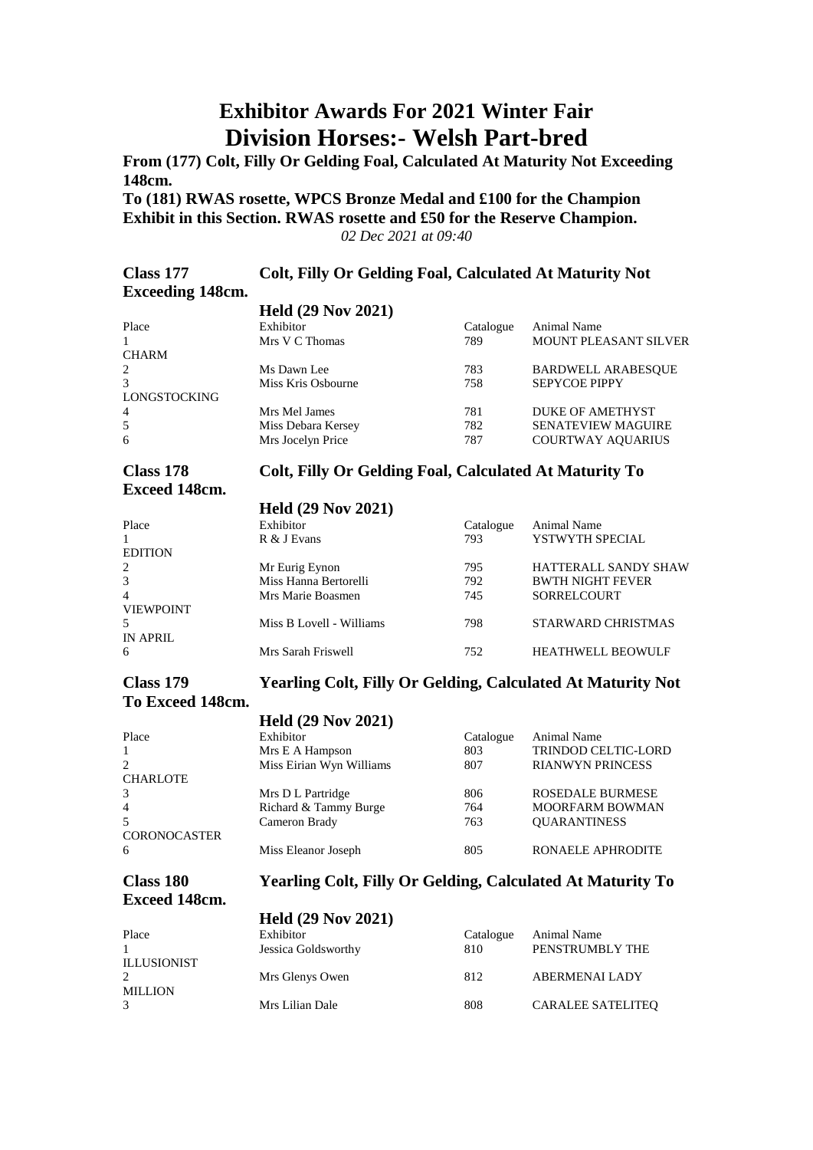### **Exhibitor Awards For 2021 Winter Fair Division Horses:- Welsh Part-bred**

**From (177) Colt, Filly Or Gelding Foal, Calculated At Maturity Not Exceeding 148cm.**

**To (181) RWAS rosette, WPCS Bronze Medal and £100 for the Champion Exhibit in this Section. RWAS rosette and £50 for the Reserve Champion.** *02 Dec 2021 at 09:40*

| Class 177               | Colt, Filly Or Gelding Foal, Calculated At Maturity Not |
|-------------------------|---------------------------------------------------------|
| <b>Exceeding 148cm.</b> |                                                         |

|                | <b>Held (29 Nov 2021)</b> |           |                              |
|----------------|---------------------------|-----------|------------------------------|
| Place          | Exhibitor                 | Catalogue | <b>Animal Name</b>           |
|                | Mrs V C Thomas            | 789       | <b>MOUNT PLEASANT SILVER</b> |
| <b>CHARM</b>   |                           |           |                              |
| 2              | Ms Dawn Lee               | 783       | <b>BARDWELL ARABESQUE</b>    |
| 3              | Miss Kris Osbourne        | 758       | <b>SEPYCOE PIPPY</b>         |
| LONGSTOCKING   |                           |           |                              |
| $\overline{4}$ | Mrs Mel James             | 781       | <b>DUKE OF AMETHYST</b>      |
| 5              | Miss Debara Kersey        | 782       | <b>SENATEVIEW MAGUIRE</b>    |
| 6              | Mrs Jocelyn Price         | 787       | <b>COURTWAY AOUARIUS</b>     |

# **Exceed 148cm.**

#### **Class 178 Colt, Filly Or Gelding Foal, Calculated At Maturity To**

#### **Held (29 Nov 2021)**

| Place            | Exhibitor                | Catalogue | <b>Animal Name</b>          |
|------------------|--------------------------|-----------|-----------------------------|
|                  | R & J Evans              | 793       | YSTWYTH SPECIAL             |
| <b>EDITION</b>   |                          |           |                             |
| 2                | Mr Eurig Eynon           | 795       | <b>HATTERALL SANDY SHAW</b> |
| 3                | Miss Hanna Bertorelli    | 792       | <b>BWTH NIGHT FEVER</b>     |
| $\overline{4}$   | Mrs Marie Boasmen        | 745       | <b>SORRELCOURT</b>          |
| <b>VIEWPOINT</b> |                          |           |                             |
| .5               | Miss B Lovell - Williams | 798       | <b>STARWARD CHRISTMAS</b>   |
| IN APRIL         |                          |           |                             |
| 6                | Mrs Sarah Friswell       | 752       | <b>HEATHWELL BEOWULF</b>    |
|                  |                          |           |                             |

#### **Class 179 Yearling Colt, Filly Or Gelding, Calculated At Maturity Not**

#### **To Exceed 148cm.**

|                     | <b>Held (29 Nov 2021)</b> |           |                         |
|---------------------|---------------------------|-----------|-------------------------|
| Place               | Exhibitor                 | Catalogue | <b>Animal Name</b>      |
| $\mathbf{1}$        | Mrs E A Hampson           | 803       | TRINDOD CELTIC-LORD     |
| 2                   | Miss Eirian Wyn Williams  | 807       | <b>RIANWYN PRINCESS</b> |
| <b>CHARLOTE</b>     |                           |           |                         |
| 3                   | Mrs D L Partridge         | 806       | <b>ROSEDALE BURMESE</b> |
| $\overline{4}$      | Richard & Tammy Burge     | 764       | <b>MOORFARM BOWMAN</b>  |
| 5                   | Cameron Brady             | 763       | <b>OUARANTINESS</b>     |
| <b>CORONOCASTER</b> |                           |           |                         |
| 6                   | Miss Eleanor Joseph       | 805       | RONAELE APHRODITE       |

# **Exceed 148cm.**

#### **Class 180 Yearling Colt, Filly Or Gelding, Calculated At Maturity To**

|                    | <b>Held (29 Nov 2021)</b>        |                  |                                |
|--------------------|----------------------------------|------------------|--------------------------------|
| Place              | Exhibitor<br>Jessica Goldsworthy | Catalogue<br>810 | Animal Name<br>PENSTRUMBLY THE |
| <b>ILLUSIONIST</b> | Mrs Glenys Owen                  | 812              | <b>ABERMENAI LADY</b>          |
| <b>MILLION</b>     | Mrs Lilian Dale                  | 808              | <b>CARALEE SATELITEO</b>       |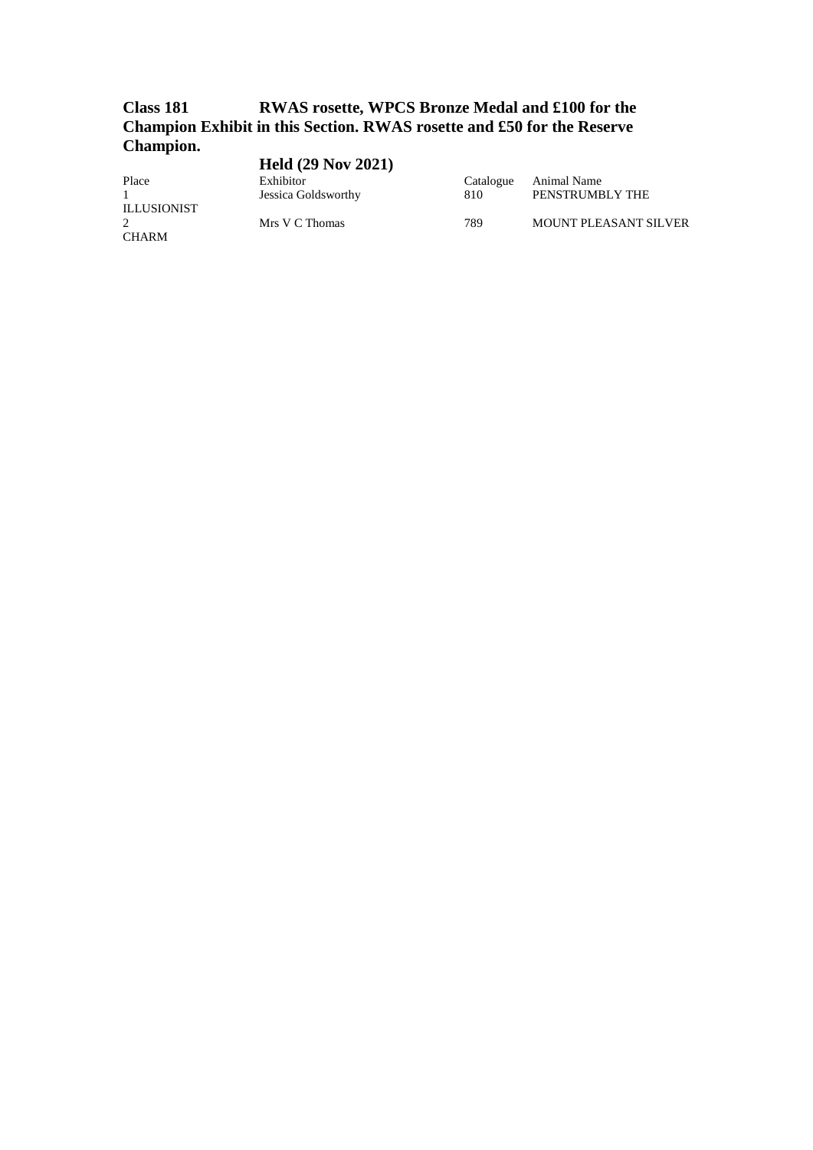#### **Class 181 RWAS rosette, WPCS Bronze Medal and £100 for the Champion Exhibit in this Section. RWAS rosette and £50 for the Reserve Champion.**  $H = 11(20 \text{ N} - 2021)$

|                    | <b>Held</b> (29 Nov 2021) |           |                              |
|--------------------|---------------------------|-----------|------------------------------|
| Place              | Exhibitor                 | Catalogue | Animal Name                  |
|                    | Jessica Goldsworthy       | 810       | PENSTRUMBLY THE              |
| <b>ILLUSIONIST</b> |                           |           |                              |
| 2                  | Mrs V C Thomas            | 789       | <b>MOUNT PLEASANT SILVER</b> |
| CHARM              |                           |           |                              |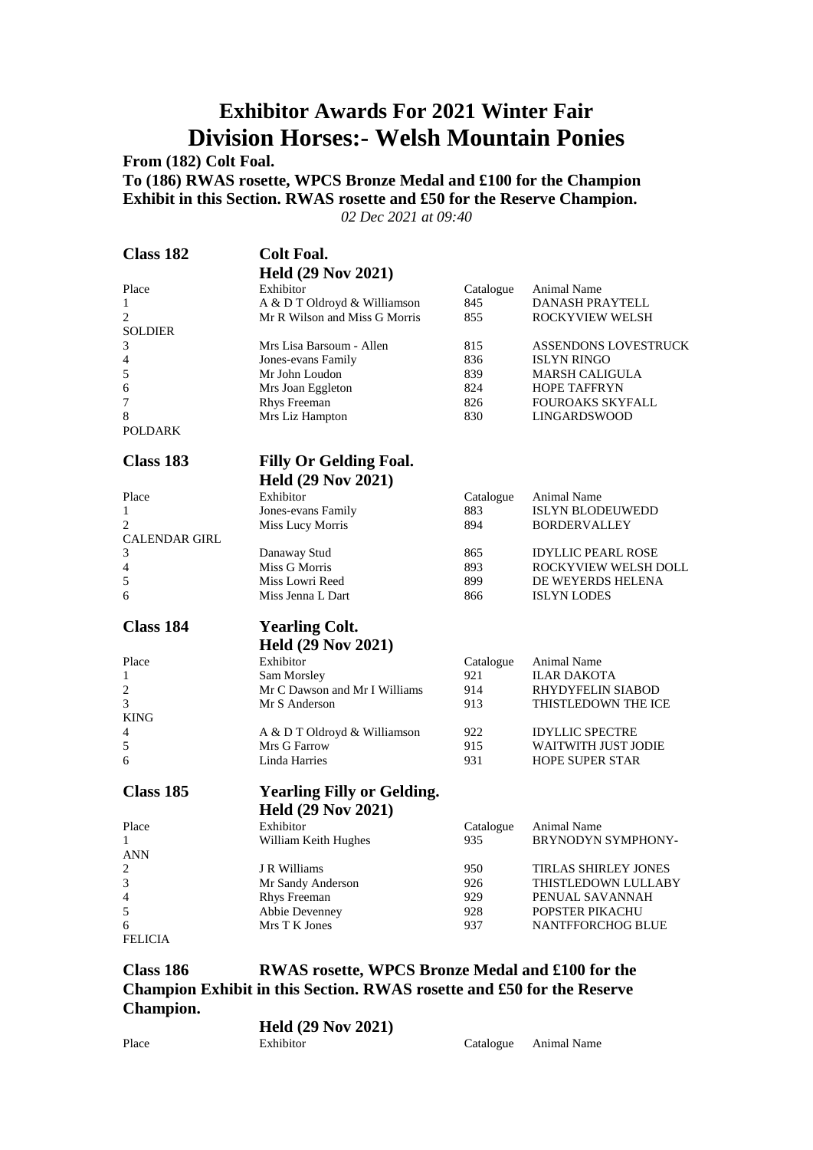### **Exhibitor Awards For 2021 Winter Fair Division Horses:- Welsh Mountain Ponies**

**From (182) Colt Foal.**

**To (186) RWAS rosette, WPCS Bronze Medal and £100 for the Champion Exhibit in this Section. RWAS rosette and £50 for the Reserve Champion.**

*02 Dec 2021 at 09:40*

| <b>Class 182</b>     | <b>Colt Foal.</b>                 |                  |                             |
|----------------------|-----------------------------------|------------------|-----------------------------|
|                      | <b>Held (29 Nov 2021)</b>         |                  |                             |
| Place                | Exhibitor                         | Catalogue        | Animal Name                 |
| 1                    | A & D T Oldroyd & Williamson      | 845              | <b>DANASH PRAYTELL</b>      |
| $\overline{c}$       | Mr R Wilson and Miss G Morris     | 855              | <b>ROCKYVIEW WELSH</b>      |
| <b>SOLDIER</b>       |                                   |                  |                             |
| 3                    | Mrs Lisa Barsoum - Allen          | 815              | ASSENDONS LOVESTRUCK        |
| 4                    | Jones-evans Family                | 836              | <b>ISLYN RINGO</b>          |
| 5                    | Mr John Loudon                    | 839              | <b>MARSH CALIGULA</b>       |
| 6                    | Mrs Joan Eggleton                 | 824              | <b>HOPE TAFFRYN</b>         |
| 7                    | Rhys Freeman                      | 826              | <b>FOUROAKS SKYFALL</b>     |
| 8                    | Mrs Liz Hampton                   | 830              | <b>LINGARDSWOOD</b>         |
| <b>POLDARK</b>       |                                   |                  |                             |
| Class 183            | <b>Filly Or Gelding Foal.</b>     |                  |                             |
|                      | <b>Held (29 Nov 2021)</b>         |                  |                             |
| Place                | Exhibitor                         | Catalogue        | Animal Name                 |
| $\mathbf{1}$         | Jones-evans Family                | 883              | ISLYN BLODEUWEDD            |
| $\overline{c}$       | <b>Miss Lucy Morris</b>           | 894              | <b>BORDERVALLEY</b>         |
| <b>CALENDAR GIRL</b> |                                   |                  |                             |
| 3                    | Danaway Stud                      | 865              | <b>IDYLLIC PEARL ROSE</b>   |
| 4                    | Miss G Morris                     | 893              | ROCKYVIEW WELSH DOLL        |
| 5                    | Miss Lowri Reed                   | 899              | DE WEYERDS HELENA           |
| 6                    | Miss Jenna L Dart                 | 866              | <b>ISLYN LODES</b>          |
| <b>Class 184</b>     | <b>Yearling Colt.</b>             |                  |                             |
|                      | <b>Held (29 Nov 2021)</b>         |                  |                             |
| Place                | Exhibitor                         | Catalogue        | Animal Name                 |
| 1                    | Sam Morsley                       | 921              | <b>ILAR DAKOTA</b>          |
| 2                    | Mr C Dawson and Mr I Williams     | 914              | RHYDYFELIN SIABOD           |
| 3                    | Mr S Anderson                     | 913              | THISTLEDOWN THE ICE         |
| <b>KING</b>          |                                   |                  |                             |
| 4                    | A & D T Oldroyd & Williamson      | 922              | <b>IDYLLIC SPECTRE</b>      |
| 5                    | Mrs G Farrow                      | 915              | WAITWITH JUST JODIE         |
| 6                    | Linda Harries                     | 931              | <b>HOPE SUPER STAR</b>      |
| Class 185            | <b>Yearling Filly or Gelding.</b> |                  |                             |
|                      | <b>Held (29 Nov 2021)</b>         |                  |                             |
| Place                | Exhibitor                         |                  | Animal Name                 |
| 1                    | William Keith Hughes              | Catalogue<br>935 | BRYNODYN SYMPHONY-          |
| <b>ANN</b>           |                                   |                  |                             |
| 2                    | J R Williams                      | 950              | <b>TIRLAS SHIRLEY JONES</b> |
| 3                    | Mr Sandy Anderson                 | 926              | THISTLEDOWN LULLABY         |
| 4                    | Rhys Freeman                      | 929              | PENUAL SAVANNAH             |
| 5                    | Abbie Devenney                    | 928              | POPSTER PIKACHU             |
| 6                    | Mrs T K Jones                     | 937              | <b>NANTFFORCHOG BLUE</b>    |
| <b>FELICIA</b>       |                                   |                  |                             |
|                      |                                   |                  |                             |

**Class 186 RWAS rosette, WPCS Bronze Medal and £100 for the Champion Exhibit in this Section. RWAS rosette and £50 for the Reserve Champion. Held (29 Nov 2021)**

|       | Heid (29 Nov 2021) |                       |
|-------|--------------------|-----------------------|
| Place | Exhibitor          | Catalogue Animal Name |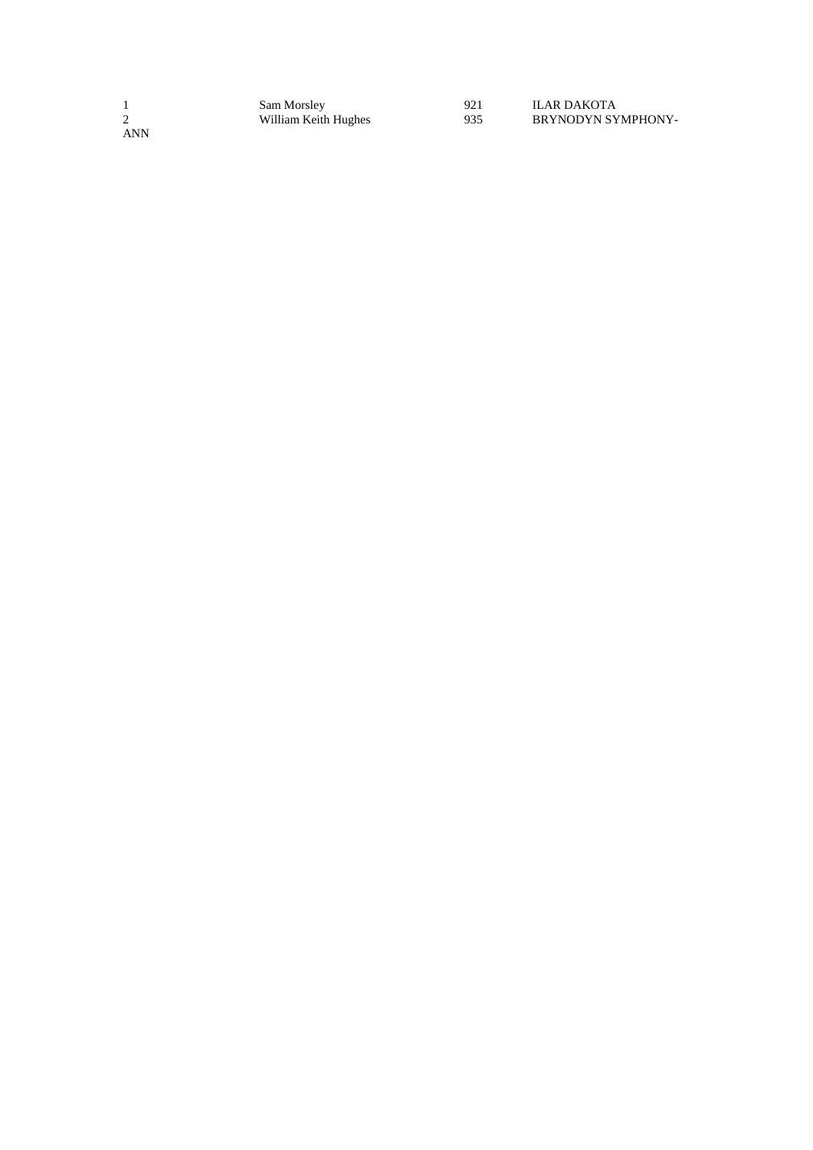|     | Sam Morsley          | 921 | ILAR DAKOTA        |
|-----|----------------------|-----|--------------------|
|     | William Keith Hughes | 935 | BRYNODYN SYMPHONY- |
| ANN |                      |     |                    |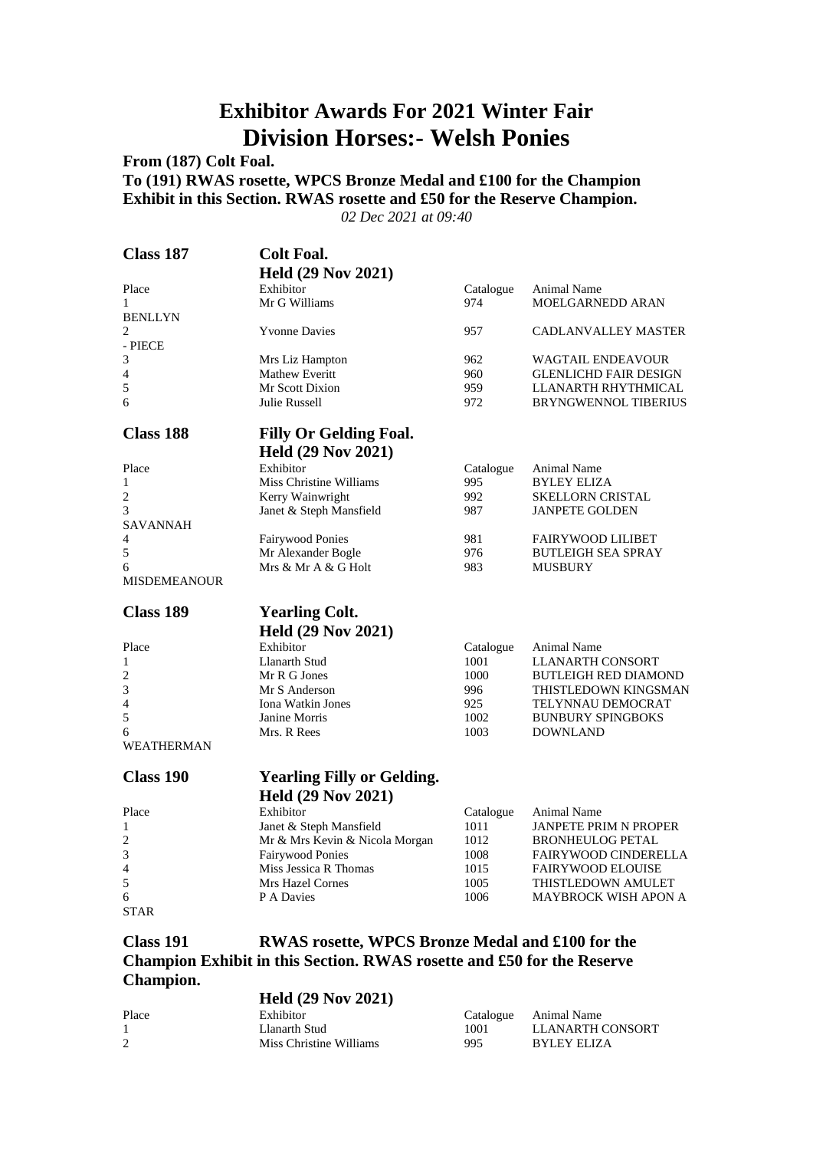### **Exhibitor Awards For 2021 Winter Fair Division Horses:- Welsh Ponies**

**From (187) Colt Foal.**

**To (191) RWAS rosette, WPCS Bronze Medal and £100 for the Champion Exhibit in this Section. RWAS rosette and £50 for the Reserve Champion.**

*02 Dec 2021 at 09:40*

| Class 187           | <b>Colt Foal.</b>                 |           |                              |
|---------------------|-----------------------------------|-----------|------------------------------|
|                     | <b>Held (29 Nov 2021)</b>         |           |                              |
| Place               | Exhibitor                         | Catalogue | Animal Name                  |
| 1                   | Mr G Williams                     | 974       | MOELGARNEDD ARAN             |
| <b>BENLLYN</b>      |                                   |           |                              |
| $\overline{c}$      | <b>Yvonne Davies</b>              | 957       | <b>CADLANVALLEY MASTER</b>   |
| - PIECE             |                                   |           |                              |
| 3                   | Mrs Liz Hampton                   | 962       | <b>WAGTAIL ENDEAVOUR</b>     |
| $\overline{4}$      | Mathew Everitt                    | 960       | <b>GLENLICHD FAIR DESIGN</b> |
| 5                   | Mr Scott Dixion                   | 959       | LLANARTH RHYTHMICAL          |
| 6                   | Julie Russell                     | 972       | <b>BRYNGWENNOL TIBERIUS</b>  |
| <b>Class 188</b>    | <b>Filly Or Gelding Foal.</b>     |           |                              |
|                     | <b>Held (29 Nov 2021)</b>         |           |                              |
| Place               | Exhibitor                         | Catalogue | Animal Name                  |
| $\mathbf{1}$        | Miss Christine Williams           | 995       | <b>BYLEY ELIZA</b>           |
| 2                   | Kerry Wainwright                  | 992       | <b>SKELLORN CRISTAL</b>      |
| 3                   | Janet & Steph Mansfield           | 987       | <b>JANPETE GOLDEN</b>        |
| SAVANNAH            |                                   |           |                              |
| 4                   | <b>Fairywood Ponies</b>           | 981       | <b>FAIRYWOOD LILIBET</b>     |
| 5                   | Mr Alexander Bogle                | 976       | <b>BUTLEIGH SEA SPRAY</b>    |
| 6                   | Mrs & Mr A & G Holt               | 983       | <b>MUSBURY</b>               |
| <b>MISDEMEANOUR</b> |                                   |           |                              |
|                     |                                   |           |                              |
| <b>Class 189</b>    | <b>Yearling Colt.</b>             |           |                              |
|                     | <b>Held (29 Nov 2021)</b>         |           |                              |
|                     | Exhibitor                         | Catalogue | Animal Name                  |
| Place               |                                   |           |                              |
| 1                   | Llanarth Stud                     | 1001      | <b>LLANARTH CONSORT</b>      |
| 2                   | Mr R G Jones                      | 1000      | <b>BUTLEIGH RED DIAMOND</b>  |
| 3                   | Mr S Anderson                     | 996       | THISTLEDOWN KINGSMAN         |
| $\overline{4}$      | Iona Watkin Jones                 | 925       | TELYNNAU DEMOCRAT            |
| 5                   | Janine Morris                     | 1002      | <b>BUNBURY SPINGBOKS</b>     |
| 6                   | Mrs. R Rees                       | 1003      | <b>DOWNLAND</b>              |
| <b>WEATHERMAN</b>   |                                   |           |                              |
| <b>Class 190</b>    |                                   |           |                              |
|                     | <b>Yearling Filly or Gelding.</b> |           |                              |
|                     | <b>Held (29 Nov 2021)</b>         |           |                              |
| Place               | Exhibitor                         | Catalogue | Animal Name                  |
| 1                   | Janet & Steph Mansfield           | 1011      | <b>JANPETE PRIM N PROPER</b> |
| 2                   | Mr & Mrs Kevin & Nicola Morgan    | 1012      | <b>BRONHEULOG PETAL</b>      |
| 3                   | <b>Fairywood Ponies</b>           | 1008      | <b>FAIRYWOOD CINDERELLA</b>  |
| 4                   | Miss Jessica R Thomas             | 1015      | <b>FAIRYWOOD ELOUISE</b>     |
| 5                   | Mrs Hazel Cornes                  | 1005      | THISTLEDOWN AMULET           |
| 6<br><b>STAR</b>    | P A Davies                        | 1006      | <b>MAYBROCK WISH APON A</b>  |
|                     |                                   |           |                              |

**Champion Exhibit in this Section. RWAS rosette and £50 for the Reserve Champion. Held (29 Nov 2021)**

|       | <b>ILCRU</b> $(47.1908.4041)$ |      |                       |
|-------|-------------------------------|------|-----------------------|
| Place | Exhibitor                     |      | Catalogue Animal Name |
|       | Llanarth Stud                 | 1001 | LLANARTH CONSORT      |
|       | Miss Christine Williams       | 995  | BYLEY ELIZA           |
|       |                               |      |                       |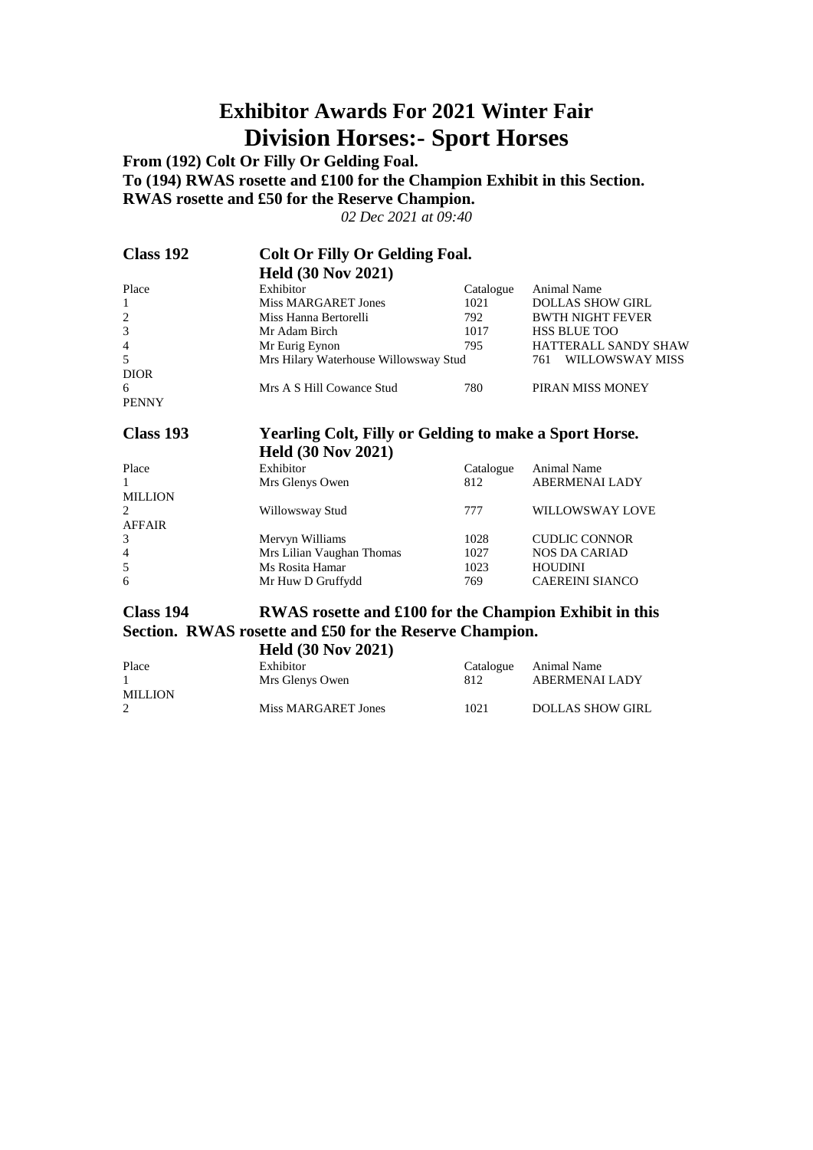### **Exhibitor Awards For 2021 Winter Fair Division Horses:- Sport Horses**

**From (192) Colt Or Filly Or Gelding Foal. To (194) RWAS rosette and £100 for the Champion Exhibit in this Section. RWAS rosette and £50 for the Reserve Champion.**

*02 Dec 2021 at 09:40*

| Class 192      | <b>Colt Or Filly Or Gelding Foal.</b> |           |                             |
|----------------|---------------------------------------|-----------|-----------------------------|
|                | <b>Held (30 Nov 2021)</b>             |           |                             |
| Place          | Exhibitor                             | Catalogue | Animal Name                 |
| -1             | Miss MARGARET Jones                   | 1021      | <b>DOLLAS SHOW GIRL</b>     |
| 2              | Miss Hanna Bertorelli                 | 792       | <b>BWTH NIGHT FEVER</b>     |
| 3              | Mr Adam Birch                         | 1017      | <b>HSS BLUE TOO</b>         |
| $\overline{4}$ | Mr Eurig Eynon                        | 795       | <b>HATTERALL SANDY SHAW</b> |
| .5             | Mrs Hilary Waterhouse Willowsway Stud |           | WILLOWSWAY MISS<br>761      |
| <b>DIOR</b>    |                                       |           |                             |
| 6              | Mrs A S Hill Cowance Stud             | 780       | PIRAN MISS MONEY            |
| <b>PENNY</b>   |                                       |           |                             |

#### **Class 193 Yearling Colt, Filly or Gelding to make a Sport Horse. Held (30 Nov 2021)**

|                | <b>Held</b> $(30 \text{ Nov } 2021)$ |           |                        |
|----------------|--------------------------------------|-----------|------------------------|
| Place          | Exhibitor                            | Catalogue | Animal Name            |
| $\mathbf{1}$   | Mrs Glenys Owen                      | 812       | <b>ABERMENAI LADY</b>  |
| <b>MILLION</b> |                                      |           |                        |
| 2              | Willowsway Stud                      | 777       | WILLOWSWAY LOVE        |
| <b>AFFAIR</b>  |                                      |           |                        |
| 3              | Mervyn Williams                      | 1028      | <b>CUDLIC CONNOR</b>   |
| $\overline{4}$ | Mrs Lilian Vaughan Thomas            | 1027      | <b>NOS DA CARIAD</b>   |
| 5              | Ms Rosita Hamar                      | 1023      | <b>HOUDINI</b>         |
| 6              | Mr Huw D Gruffydd                    | 769       | <b>CAEREINI SIANCO</b> |
|                |                                      |           |                        |

#### **Class 194 RWAS rosette and £100 for the Champion Exhibit in this Section. RWAS rosette and £50 for the Reserve Champion.**

**Held (30 Nov 2021)**

| Place          | Exhibitor<br>Mrs Glenys Owen | 812  | Catalogue Animal Name<br>ABERMENALLADY |
|----------------|------------------------------|------|----------------------------------------|
| <b>MILLION</b> |                              |      |                                        |
|                | Miss MARGARET Jones          | 1021 | <b>DOLLAS SHOW GIRL</b>                |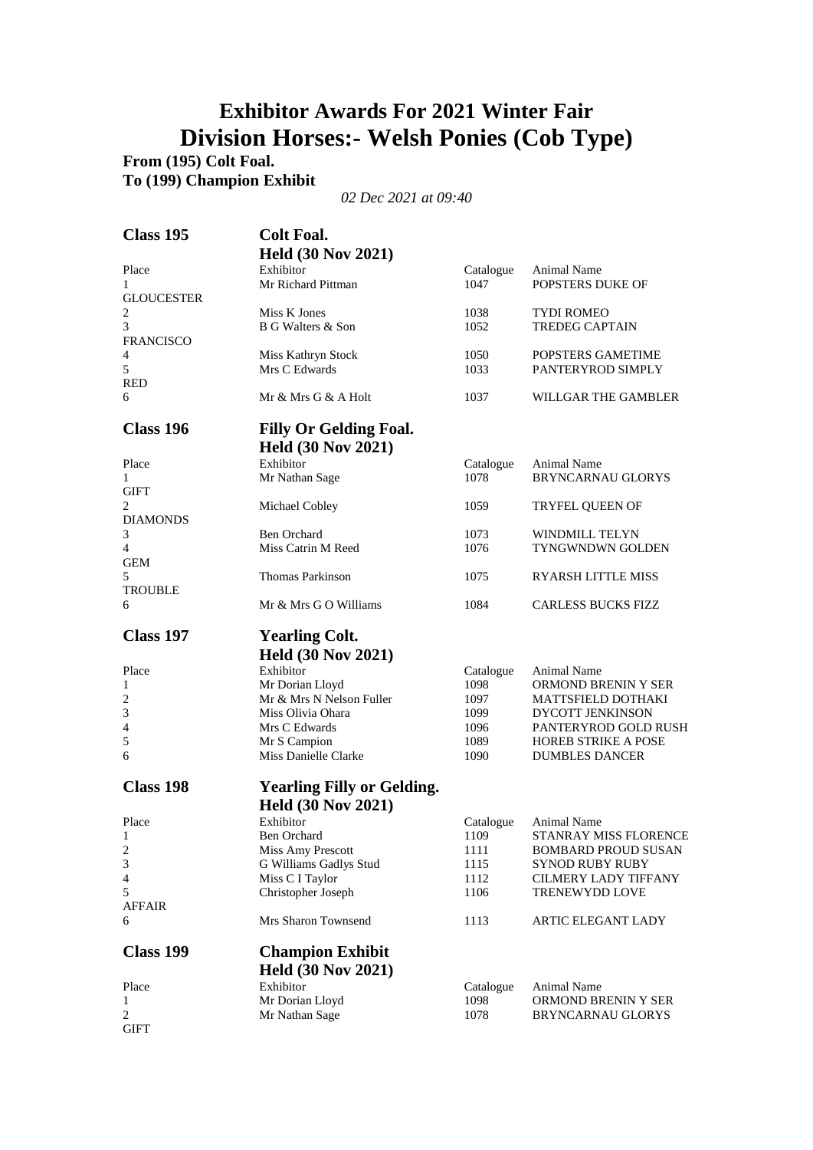### **Exhibitor Awards For 2021 Winter Fair Division Horses:- Welsh Ponies (Cob Type)**

**From (195) Colt Foal. To (199) Champion Exhibit**

| Exhibitor<br>Place<br>Catalogue<br>Animal Name<br>Mr Richard Pittman<br><b>POPSTERS DUKE OF</b><br>1047<br>1<br><b>GLOUCESTER</b><br>2<br>Miss K Jones<br>1038<br><b>TYDI ROMEO</b><br>3<br>B G Walters & Son<br>1052<br><b>TREDEG CAPTAIN</b><br><b>FRANCISCO</b><br>1050<br>POPSTERS GAMETIME<br>4<br>Miss Kathryn Stock<br>5<br>Mrs C Edwards<br>1033<br>PANTERYROD SIMPLY<br><b>RED</b><br>6<br>Mr & Mrs G & A Holt<br>1037<br>WILLGAR THE GAMBLER<br>Class 196<br><b>Filly Or Gelding Foal.</b><br><b>Held (30 Nov 2021)</b><br>Exhibitor<br>Place<br>Catalogue<br>Animal Name<br>Mr Nathan Sage<br>1078<br><b>BRYNCARNAU GLORYS</b><br>1<br><b>GIFT</b><br>2<br>Michael Cobley<br>1059<br><b>TRYFEL QUEEN OF</b><br><b>DIAMONDS</b><br><b>Ben Orchard</b><br>3<br>1073<br><b>WINDMILL TELYN</b><br>$\overline{4}$<br>Miss Catrin M Reed<br>1076<br><b>TYNGWNDWN GOLDEN</b><br><b>GEM</b><br>5<br>Thomas Parkinson<br>1075<br>RYARSH LITTLE MISS<br>TROUBLE<br>Mr & Mrs G O Williams<br>1084<br><b>CARLESS BUCKS FIZZ</b><br>6<br><b>Class 197</b><br><b>Yearling Colt.</b><br><b>Held (30 Nov 2021)</b><br>Exhibitor<br>Place<br>Animal Name<br>Catalogue<br>1098<br>Mr Dorian Lloyd<br>ORMOND BRENIN Y SER<br>1<br>Mr & Mrs N Nelson Fuller<br>1097<br>MATTSFIELD DOTHAKI<br>2<br>3<br>Miss Olivia Ohara<br>1099<br>DYCOTT JENKINSON<br>4<br>Mrs C Edwards<br>1096<br>PANTERYROD GOLD RUSH<br>5<br>Mr S Campion<br>1089<br><b>HOREB STRIKE A POSE</b><br>Miss Danielle Clarke<br><b>DUMBLES DANCER</b><br>6<br>1090<br>Class 198<br><b>Yearling Filly or Gelding.</b><br><b>Held (30 Nov 2021)</b><br>Exhibitor<br>Place<br>Animal Name<br>Catalogue<br>STANRAY MISS FLORENCE<br>1<br>Ben Orchard<br>1109<br>2<br>Miss Amy Prescott<br><b>BOMBARD PROUD SUSAN</b><br>1111<br>3<br>G Williams Gadlys Stud<br>1115<br><b>SYNOD RUBY RUBY</b><br>4<br>Miss C I Taylor<br>1112<br><b>CILMERY LADY TIFFANY</b><br>5<br>Christopher Joseph<br>1106<br>TRENEWYDD LOVE<br><b>AFFAIR</b><br>Mrs Sharon Townsend<br>6<br>1113<br>ARTIC ELEGANT LADY<br><b>Class 199</b><br><b>Champion Exhibit</b><br><b>Held (30 Nov 2021)</b><br>Exhibitor<br>Place<br><b>Animal Name</b><br>Catalogue<br>Mr Dorian Lloyd<br>1098<br>ORMOND BRENIN Y SER<br>1<br>2<br>Mr Nathan Sage<br>1078<br>BRYNCARNAU GLORYS<br>GIFT | <b>Class 195</b> | <b>Colt Foal.</b><br><b>Held (30 Nov 2021)</b> |  |
|----------------------------------------------------------------------------------------------------------------------------------------------------------------------------------------------------------------------------------------------------------------------------------------------------------------------------------------------------------------------------------------------------------------------------------------------------------------------------------------------------------------------------------------------------------------------------------------------------------------------------------------------------------------------------------------------------------------------------------------------------------------------------------------------------------------------------------------------------------------------------------------------------------------------------------------------------------------------------------------------------------------------------------------------------------------------------------------------------------------------------------------------------------------------------------------------------------------------------------------------------------------------------------------------------------------------------------------------------------------------------------------------------------------------------------------------------------------------------------------------------------------------------------------------------------------------------------------------------------------------------------------------------------------------------------------------------------------------------------------------------------------------------------------------------------------------------------------------------------------------------------------------------------------------------------------------------------------------------------------------------------------------------------------------------------------------------------------------------------------------------------------------------------------------------------------------------------------------------------------------------------------------------------------------------------|------------------|------------------------------------------------|--|
|                                                                                                                                                                                                                                                                                                                                                                                                                                                                                                                                                                                                                                                                                                                                                                                                                                                                                                                                                                                                                                                                                                                                                                                                                                                                                                                                                                                                                                                                                                                                                                                                                                                                                                                                                                                                                                                                                                                                                                                                                                                                                                                                                                                                                                                                                                          |                  |                                                |  |
|                                                                                                                                                                                                                                                                                                                                                                                                                                                                                                                                                                                                                                                                                                                                                                                                                                                                                                                                                                                                                                                                                                                                                                                                                                                                                                                                                                                                                                                                                                                                                                                                                                                                                                                                                                                                                                                                                                                                                                                                                                                                                                                                                                                                                                                                                                          |                  |                                                |  |
|                                                                                                                                                                                                                                                                                                                                                                                                                                                                                                                                                                                                                                                                                                                                                                                                                                                                                                                                                                                                                                                                                                                                                                                                                                                                                                                                                                                                                                                                                                                                                                                                                                                                                                                                                                                                                                                                                                                                                                                                                                                                                                                                                                                                                                                                                                          |                  |                                                |  |
|                                                                                                                                                                                                                                                                                                                                                                                                                                                                                                                                                                                                                                                                                                                                                                                                                                                                                                                                                                                                                                                                                                                                                                                                                                                                                                                                                                                                                                                                                                                                                                                                                                                                                                                                                                                                                                                                                                                                                                                                                                                                                                                                                                                                                                                                                                          |                  |                                                |  |
|                                                                                                                                                                                                                                                                                                                                                                                                                                                                                                                                                                                                                                                                                                                                                                                                                                                                                                                                                                                                                                                                                                                                                                                                                                                                                                                                                                                                                                                                                                                                                                                                                                                                                                                                                                                                                                                                                                                                                                                                                                                                                                                                                                                                                                                                                                          |                  |                                                |  |
|                                                                                                                                                                                                                                                                                                                                                                                                                                                                                                                                                                                                                                                                                                                                                                                                                                                                                                                                                                                                                                                                                                                                                                                                                                                                                                                                                                                                                                                                                                                                                                                                                                                                                                                                                                                                                                                                                                                                                                                                                                                                                                                                                                                                                                                                                                          |                  |                                                |  |
|                                                                                                                                                                                                                                                                                                                                                                                                                                                                                                                                                                                                                                                                                                                                                                                                                                                                                                                                                                                                                                                                                                                                                                                                                                                                                                                                                                                                                                                                                                                                                                                                                                                                                                                                                                                                                                                                                                                                                                                                                                                                                                                                                                                                                                                                                                          |                  |                                                |  |
|                                                                                                                                                                                                                                                                                                                                                                                                                                                                                                                                                                                                                                                                                                                                                                                                                                                                                                                                                                                                                                                                                                                                                                                                                                                                                                                                                                                                                                                                                                                                                                                                                                                                                                                                                                                                                                                                                                                                                                                                                                                                                                                                                                                                                                                                                                          |                  |                                                |  |
|                                                                                                                                                                                                                                                                                                                                                                                                                                                                                                                                                                                                                                                                                                                                                                                                                                                                                                                                                                                                                                                                                                                                                                                                                                                                                                                                                                                                                                                                                                                                                                                                                                                                                                                                                                                                                                                                                                                                                                                                                                                                                                                                                                                                                                                                                                          |                  |                                                |  |
|                                                                                                                                                                                                                                                                                                                                                                                                                                                                                                                                                                                                                                                                                                                                                                                                                                                                                                                                                                                                                                                                                                                                                                                                                                                                                                                                                                                                                                                                                                                                                                                                                                                                                                                                                                                                                                                                                                                                                                                                                                                                                                                                                                                                                                                                                                          |                  |                                                |  |
|                                                                                                                                                                                                                                                                                                                                                                                                                                                                                                                                                                                                                                                                                                                                                                                                                                                                                                                                                                                                                                                                                                                                                                                                                                                                                                                                                                                                                                                                                                                                                                                                                                                                                                                                                                                                                                                                                                                                                                                                                                                                                                                                                                                                                                                                                                          |                  |                                                |  |
|                                                                                                                                                                                                                                                                                                                                                                                                                                                                                                                                                                                                                                                                                                                                                                                                                                                                                                                                                                                                                                                                                                                                                                                                                                                                                                                                                                                                                                                                                                                                                                                                                                                                                                                                                                                                                                                                                                                                                                                                                                                                                                                                                                                                                                                                                                          |                  |                                                |  |
|                                                                                                                                                                                                                                                                                                                                                                                                                                                                                                                                                                                                                                                                                                                                                                                                                                                                                                                                                                                                                                                                                                                                                                                                                                                                                                                                                                                                                                                                                                                                                                                                                                                                                                                                                                                                                                                                                                                                                                                                                                                                                                                                                                                                                                                                                                          |                  |                                                |  |
|                                                                                                                                                                                                                                                                                                                                                                                                                                                                                                                                                                                                                                                                                                                                                                                                                                                                                                                                                                                                                                                                                                                                                                                                                                                                                                                                                                                                                                                                                                                                                                                                                                                                                                                                                                                                                                                                                                                                                                                                                                                                                                                                                                                                                                                                                                          |                  |                                                |  |
|                                                                                                                                                                                                                                                                                                                                                                                                                                                                                                                                                                                                                                                                                                                                                                                                                                                                                                                                                                                                                                                                                                                                                                                                                                                                                                                                                                                                                                                                                                                                                                                                                                                                                                                                                                                                                                                                                                                                                                                                                                                                                                                                                                                                                                                                                                          |                  |                                                |  |
|                                                                                                                                                                                                                                                                                                                                                                                                                                                                                                                                                                                                                                                                                                                                                                                                                                                                                                                                                                                                                                                                                                                                                                                                                                                                                                                                                                                                                                                                                                                                                                                                                                                                                                                                                                                                                                                                                                                                                                                                                                                                                                                                                                                                                                                                                                          |                  |                                                |  |
|                                                                                                                                                                                                                                                                                                                                                                                                                                                                                                                                                                                                                                                                                                                                                                                                                                                                                                                                                                                                                                                                                                                                                                                                                                                                                                                                                                                                                                                                                                                                                                                                                                                                                                                                                                                                                                                                                                                                                                                                                                                                                                                                                                                                                                                                                                          |                  |                                                |  |
|                                                                                                                                                                                                                                                                                                                                                                                                                                                                                                                                                                                                                                                                                                                                                                                                                                                                                                                                                                                                                                                                                                                                                                                                                                                                                                                                                                                                                                                                                                                                                                                                                                                                                                                                                                                                                                                                                                                                                                                                                                                                                                                                                                                                                                                                                                          |                  |                                                |  |
|                                                                                                                                                                                                                                                                                                                                                                                                                                                                                                                                                                                                                                                                                                                                                                                                                                                                                                                                                                                                                                                                                                                                                                                                                                                                                                                                                                                                                                                                                                                                                                                                                                                                                                                                                                                                                                                                                                                                                                                                                                                                                                                                                                                                                                                                                                          |                  |                                                |  |
|                                                                                                                                                                                                                                                                                                                                                                                                                                                                                                                                                                                                                                                                                                                                                                                                                                                                                                                                                                                                                                                                                                                                                                                                                                                                                                                                                                                                                                                                                                                                                                                                                                                                                                                                                                                                                                                                                                                                                                                                                                                                                                                                                                                                                                                                                                          |                  |                                                |  |
|                                                                                                                                                                                                                                                                                                                                                                                                                                                                                                                                                                                                                                                                                                                                                                                                                                                                                                                                                                                                                                                                                                                                                                                                                                                                                                                                                                                                                                                                                                                                                                                                                                                                                                                                                                                                                                                                                                                                                                                                                                                                                                                                                                                                                                                                                                          |                  |                                                |  |
|                                                                                                                                                                                                                                                                                                                                                                                                                                                                                                                                                                                                                                                                                                                                                                                                                                                                                                                                                                                                                                                                                                                                                                                                                                                                                                                                                                                                                                                                                                                                                                                                                                                                                                                                                                                                                                                                                                                                                                                                                                                                                                                                                                                                                                                                                                          |                  |                                                |  |
|                                                                                                                                                                                                                                                                                                                                                                                                                                                                                                                                                                                                                                                                                                                                                                                                                                                                                                                                                                                                                                                                                                                                                                                                                                                                                                                                                                                                                                                                                                                                                                                                                                                                                                                                                                                                                                                                                                                                                                                                                                                                                                                                                                                                                                                                                                          |                  |                                                |  |
|                                                                                                                                                                                                                                                                                                                                                                                                                                                                                                                                                                                                                                                                                                                                                                                                                                                                                                                                                                                                                                                                                                                                                                                                                                                                                                                                                                                                                                                                                                                                                                                                                                                                                                                                                                                                                                                                                                                                                                                                                                                                                                                                                                                                                                                                                                          |                  |                                                |  |
|                                                                                                                                                                                                                                                                                                                                                                                                                                                                                                                                                                                                                                                                                                                                                                                                                                                                                                                                                                                                                                                                                                                                                                                                                                                                                                                                                                                                                                                                                                                                                                                                                                                                                                                                                                                                                                                                                                                                                                                                                                                                                                                                                                                                                                                                                                          |                  |                                                |  |
|                                                                                                                                                                                                                                                                                                                                                                                                                                                                                                                                                                                                                                                                                                                                                                                                                                                                                                                                                                                                                                                                                                                                                                                                                                                                                                                                                                                                                                                                                                                                                                                                                                                                                                                                                                                                                                                                                                                                                                                                                                                                                                                                                                                                                                                                                                          |                  |                                                |  |
|                                                                                                                                                                                                                                                                                                                                                                                                                                                                                                                                                                                                                                                                                                                                                                                                                                                                                                                                                                                                                                                                                                                                                                                                                                                                                                                                                                                                                                                                                                                                                                                                                                                                                                                                                                                                                                                                                                                                                                                                                                                                                                                                                                                                                                                                                                          |                  |                                                |  |
|                                                                                                                                                                                                                                                                                                                                                                                                                                                                                                                                                                                                                                                                                                                                                                                                                                                                                                                                                                                                                                                                                                                                                                                                                                                                                                                                                                                                                                                                                                                                                                                                                                                                                                                                                                                                                                                                                                                                                                                                                                                                                                                                                                                                                                                                                                          |                  |                                                |  |
|                                                                                                                                                                                                                                                                                                                                                                                                                                                                                                                                                                                                                                                                                                                                                                                                                                                                                                                                                                                                                                                                                                                                                                                                                                                                                                                                                                                                                                                                                                                                                                                                                                                                                                                                                                                                                                                                                                                                                                                                                                                                                                                                                                                                                                                                                                          |                  |                                                |  |
|                                                                                                                                                                                                                                                                                                                                                                                                                                                                                                                                                                                                                                                                                                                                                                                                                                                                                                                                                                                                                                                                                                                                                                                                                                                                                                                                                                                                                                                                                                                                                                                                                                                                                                                                                                                                                                                                                                                                                                                                                                                                                                                                                                                                                                                                                                          |                  |                                                |  |
|                                                                                                                                                                                                                                                                                                                                                                                                                                                                                                                                                                                                                                                                                                                                                                                                                                                                                                                                                                                                                                                                                                                                                                                                                                                                                                                                                                                                                                                                                                                                                                                                                                                                                                                                                                                                                                                                                                                                                                                                                                                                                                                                                                                                                                                                                                          |                  |                                                |  |
|                                                                                                                                                                                                                                                                                                                                                                                                                                                                                                                                                                                                                                                                                                                                                                                                                                                                                                                                                                                                                                                                                                                                                                                                                                                                                                                                                                                                                                                                                                                                                                                                                                                                                                                                                                                                                                                                                                                                                                                                                                                                                                                                                                                                                                                                                                          |                  |                                                |  |
|                                                                                                                                                                                                                                                                                                                                                                                                                                                                                                                                                                                                                                                                                                                                                                                                                                                                                                                                                                                                                                                                                                                                                                                                                                                                                                                                                                                                                                                                                                                                                                                                                                                                                                                                                                                                                                                                                                                                                                                                                                                                                                                                                                                                                                                                                                          |                  |                                                |  |
|                                                                                                                                                                                                                                                                                                                                                                                                                                                                                                                                                                                                                                                                                                                                                                                                                                                                                                                                                                                                                                                                                                                                                                                                                                                                                                                                                                                                                                                                                                                                                                                                                                                                                                                                                                                                                                                                                                                                                                                                                                                                                                                                                                                                                                                                                                          |                  |                                                |  |
|                                                                                                                                                                                                                                                                                                                                                                                                                                                                                                                                                                                                                                                                                                                                                                                                                                                                                                                                                                                                                                                                                                                                                                                                                                                                                                                                                                                                                                                                                                                                                                                                                                                                                                                                                                                                                                                                                                                                                                                                                                                                                                                                                                                                                                                                                                          |                  |                                                |  |
|                                                                                                                                                                                                                                                                                                                                                                                                                                                                                                                                                                                                                                                                                                                                                                                                                                                                                                                                                                                                                                                                                                                                                                                                                                                                                                                                                                                                                                                                                                                                                                                                                                                                                                                                                                                                                                                                                                                                                                                                                                                                                                                                                                                                                                                                                                          |                  |                                                |  |
|                                                                                                                                                                                                                                                                                                                                                                                                                                                                                                                                                                                                                                                                                                                                                                                                                                                                                                                                                                                                                                                                                                                                                                                                                                                                                                                                                                                                                                                                                                                                                                                                                                                                                                                                                                                                                                                                                                                                                                                                                                                                                                                                                                                                                                                                                                          |                  |                                                |  |
|                                                                                                                                                                                                                                                                                                                                                                                                                                                                                                                                                                                                                                                                                                                                                                                                                                                                                                                                                                                                                                                                                                                                                                                                                                                                                                                                                                                                                                                                                                                                                                                                                                                                                                                                                                                                                                                                                                                                                                                                                                                                                                                                                                                                                                                                                                          |                  |                                                |  |
|                                                                                                                                                                                                                                                                                                                                                                                                                                                                                                                                                                                                                                                                                                                                                                                                                                                                                                                                                                                                                                                                                                                                                                                                                                                                                                                                                                                                                                                                                                                                                                                                                                                                                                                                                                                                                                                                                                                                                                                                                                                                                                                                                                                                                                                                                                          |                  |                                                |  |
|                                                                                                                                                                                                                                                                                                                                                                                                                                                                                                                                                                                                                                                                                                                                                                                                                                                                                                                                                                                                                                                                                                                                                                                                                                                                                                                                                                                                                                                                                                                                                                                                                                                                                                                                                                                                                                                                                                                                                                                                                                                                                                                                                                                                                                                                                                          |                  |                                                |  |
|                                                                                                                                                                                                                                                                                                                                                                                                                                                                                                                                                                                                                                                                                                                                                                                                                                                                                                                                                                                                                                                                                                                                                                                                                                                                                                                                                                                                                                                                                                                                                                                                                                                                                                                                                                                                                                                                                                                                                                                                                                                                                                                                                                                                                                                                                                          |                  |                                                |  |
|                                                                                                                                                                                                                                                                                                                                                                                                                                                                                                                                                                                                                                                                                                                                                                                                                                                                                                                                                                                                                                                                                                                                                                                                                                                                                                                                                                                                                                                                                                                                                                                                                                                                                                                                                                                                                                                                                                                                                                                                                                                                                                                                                                                                                                                                                                          |                  |                                                |  |
|                                                                                                                                                                                                                                                                                                                                                                                                                                                                                                                                                                                                                                                                                                                                                                                                                                                                                                                                                                                                                                                                                                                                                                                                                                                                                                                                                                                                                                                                                                                                                                                                                                                                                                                                                                                                                                                                                                                                                                                                                                                                                                                                                                                                                                                                                                          |                  |                                                |  |
|                                                                                                                                                                                                                                                                                                                                                                                                                                                                                                                                                                                                                                                                                                                                                                                                                                                                                                                                                                                                                                                                                                                                                                                                                                                                                                                                                                                                                                                                                                                                                                                                                                                                                                                                                                                                                                                                                                                                                                                                                                                                                                                                                                                                                                                                                                          |                  |                                                |  |
|                                                                                                                                                                                                                                                                                                                                                                                                                                                                                                                                                                                                                                                                                                                                                                                                                                                                                                                                                                                                                                                                                                                                                                                                                                                                                                                                                                                                                                                                                                                                                                                                                                                                                                                                                                                                                                                                                                                                                                                                                                                                                                                                                                                                                                                                                                          |                  |                                                |  |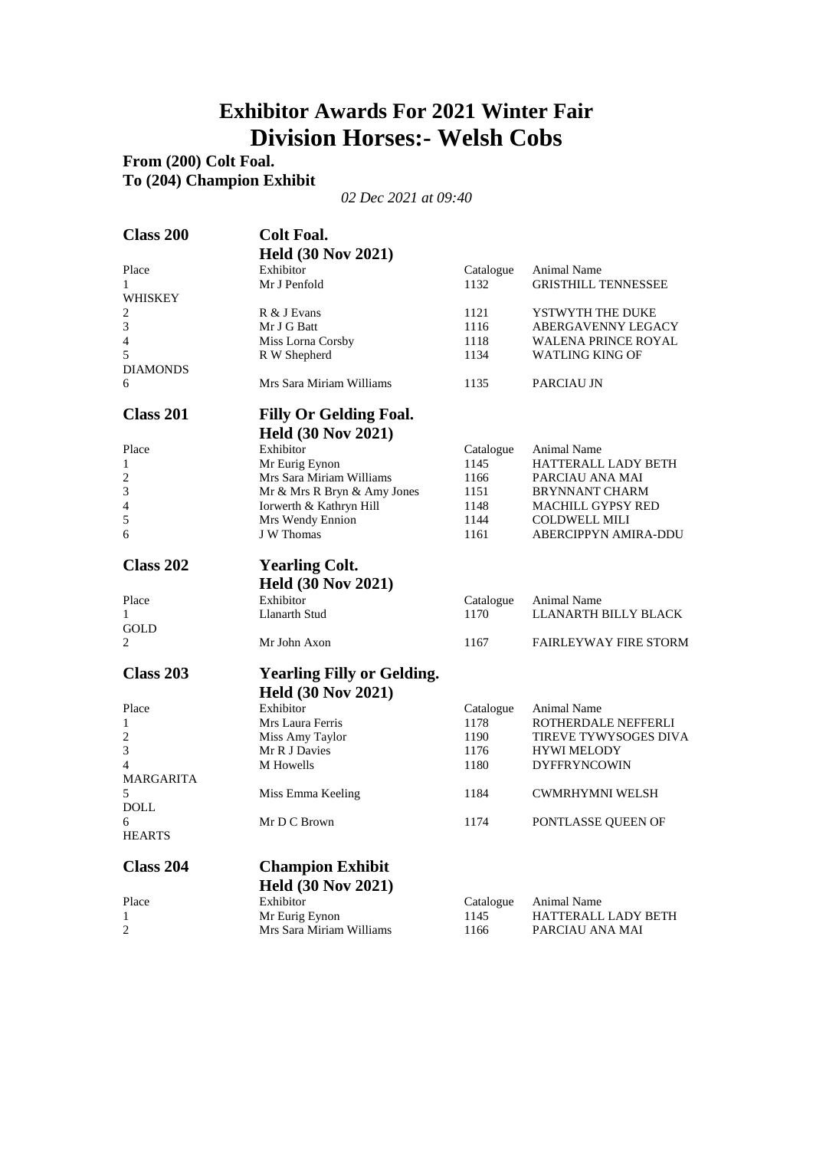### **Exhibitor Awards For 2021 Winter Fair Division Horses:- Welsh Cobs**

#### **From (200) Colt Foal. To (204) Champion Exhibit**

| <b>Class 200</b>        | <b>Colt Foal.</b>                 |           |                              |
|-------------------------|-----------------------------------|-----------|------------------------------|
|                         | <b>Held (30 Nov 2021)</b>         |           |                              |
| Place                   | Exhibitor                         | Catalogue | Animal Name                  |
| 1                       | Mr J Penfold                      | 1132      | <b>GRISTHILL TENNESSEE</b>   |
| WHISKEY                 |                                   |           |                              |
| 2                       | R & J Evans                       | 1121      | YSTWYTH THE DUKE             |
| $\mathfrak{Z}$          | Mr J G Batt                       | 1116      | ABERGAVENNY LEGACY           |
| 4                       | Miss Lorna Corsby                 | 1118      | <b>WALENA PRINCE ROYAL</b>   |
| 5                       | R W Shepherd                      | 1134      | <b>WATLING KING OF</b>       |
| <b>DIAMONDS</b>         |                                   |           |                              |
| 6                       | Mrs Sara Miriam Williams          | 1135      | PARCIAU JN                   |
| <b>Class 201</b>        | <b>Filly Or Gelding Foal.</b>     |           |                              |
|                         | <b>Held (30 Nov 2021)</b>         |           |                              |
| Place                   | Exhibitor                         | Catalogue | Animal Name                  |
| 1                       | Mr Eurig Eynon                    | 1145      | <b>HATTERALL LADY BETH</b>   |
| $\overline{\mathbf{c}}$ | Mrs Sara Miriam Williams          | 1166      | PARCIAU ANA MAI              |
| 3                       | Mr & Mrs R Bryn & Amy Jones       | 1151      | <b>BRYNNANT CHARM</b>        |
| 4                       | Iorwerth & Kathryn Hill           | 1148      | MACHILL GYPSY RED            |
| 5                       | Mrs Wendy Ennion                  | 1144      | <b>COLDWELL MILI</b>         |
| 6                       | J W Thomas                        | 1161      | ABERCIPPYN AMIRA-DDU         |
| <b>Class 202</b>        | <b>Yearling Colt.</b>             |           |                              |
|                         | <b>Held (30 Nov 2021)</b>         |           |                              |
| Place                   | Exhibitor                         | Catalogue | Animal Name                  |
| 1                       | Llanarth Stud                     | 1170      | LLANARTH BILLY BLACK         |
| GOLD                    |                                   |           |                              |
| 2                       | Mr John Axon                      | 1167      | <b>FAIRLEYWAY FIRE STORM</b> |
| <b>Class 203</b>        | <b>Yearling Filly or Gelding.</b> |           |                              |
|                         | <b>Held (30 Nov 2021)</b>         |           |                              |
| Place                   | Exhibitor                         | Catalogue | Animal Name                  |
| 1                       | Mrs Laura Ferris                  | 1178      | ROTHERDALE NEFFERLI          |
| 2                       | Miss Amy Taylor                   | 1190      | TIREVE TYWYSOGES DIVA        |
| 3                       | Mr R J Davies                     | 1176      | <b>HYWI MELODY</b>           |
| $\overline{4}$          | M Howells                         | 1180      | <b>DYFFRYNCOWIN</b>          |
| <b>MARGARITA</b>        |                                   |           |                              |
| 5                       | Miss Emma Keeling                 | 1184      | <b>CWMRHYMNI WELSH</b>       |
| <b>DOLL</b>             |                                   |           |                              |
| 6                       | Mr D C Brown                      | 1174      | PONTLASSE QUEEN OF           |
| <b>HEARTS</b>           |                                   |           |                              |
| <b>Class 204</b>        | <b>Champion Exhibit</b>           |           |                              |
|                         | <b>Held (30 Nov 2021)</b>         |           |                              |
| Place                   | Exhibitor                         | Catalogue | Animal Name                  |
| $\mathbf{1}$            | Mr Eurig Eynon                    | 1145      | <b>HATTERALL LADY BETH</b>   |
| 2                       | Mrs Sara Miriam Williams          | 1166      | PARCIAU ANA MAI              |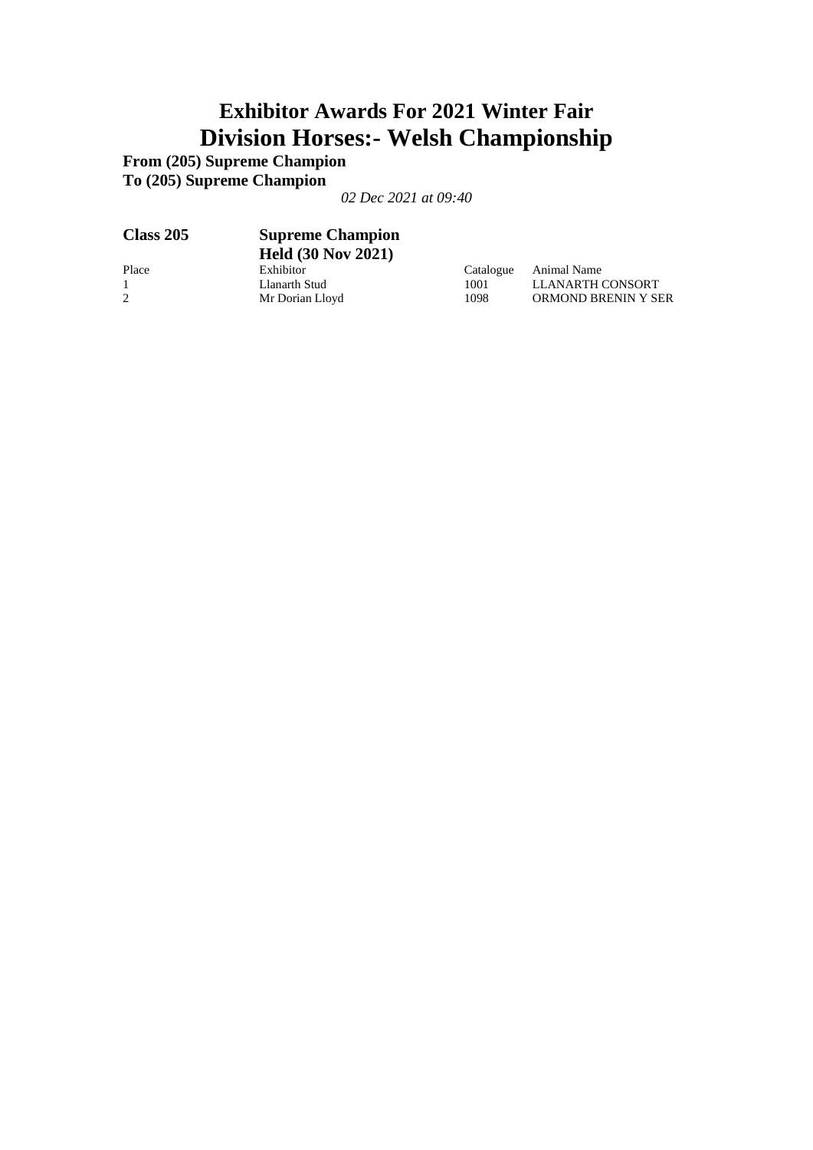## **Exhibitor Awards For 2021 Winter Fair Division Horses:- Welsh Championship**

**From (205) Supreme Champion To (205) Supreme Champion**

| <b>Class 205</b> | <b>Supreme Champion</b><br><b>Held (30 Nov 2021)</b> |           |                     |
|------------------|------------------------------------------------------|-----------|---------------------|
| Place            | Exhibitor                                            | Catalogue | Animal Name         |
|                  | Llanarth Stud                                        | 1001      | LLANARTH CONSORT    |
| 2                | Mr Dorian Lloyd                                      | 1098      | ORMOND BRENIN Y SER |